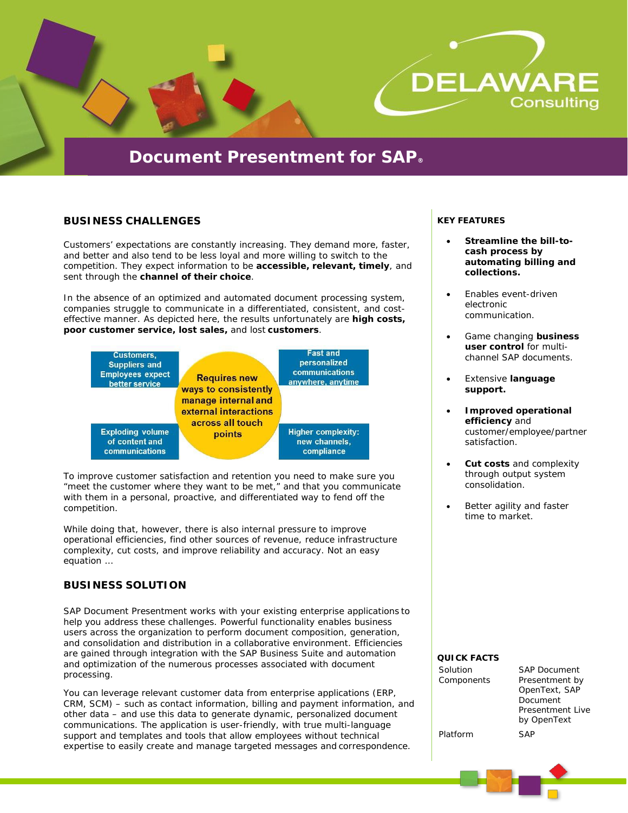

# **BUSINESS CHALLENGES**

Customers' expectations are constantly increasing. They demand more, faster, and better and also tend to be less loyal and more willing to switch to the competition. They expect information to be **accessible, relevant, timely**, and sent through the **channel of their choice**.

In the absence of an optimized and automated document processing system, companies struggle to communicate in a differentiated, consistent, and costeffective manner. As depicted here, the results unfortunately are **high costs, poor customer service, lost sales,** and lost **customers**.



To improve customer satisfaction and retention you need to make sure you "meet the customer where they want to be met," and that you communicate with them in a personal, proactive, and differentiated way to fend off the competition.

While doing that, however, there is also internal pressure to improve operational efficiencies, find other sources of revenue, reduce infrastructure complexity, cut costs, and improve reliability and accuracy. Not an easy equation …

# **BUSINESS SOLUTION**

SAP Document Presentment works with your existing enterprise applications to help you address these challenges. Powerful functionality enables business users across the organization to perform document composition, generation, and consolidation and distribution in a collaborative environment. Efficiencies are gained through integration with the SAP Business Suite and automation and optimization of the numerous processes associated with document processing.

You can leverage relevant customer data from enterprise applications (ERP, CRM, SCM) – such as contact information, billing and payment information, and other data – and use this data to generate dynamic, personalized document communications. The application is user-friendly, with true multi-language support and templates and tools that allow employees without technical expertise to easily create and manage targeted messages and correspondence.

#### **KEY FEATURES**

- **Streamline the bill-tocash process by automating billing and collections.**
- Enables event-driven electronic communication.
- Game changing **business user control** for multichannel SAP documents.
- Extensive **language support.**
- **Improved operational efficiency** and customer/employee/partner satisfaction.
- **Cut costs** and complexity through output system consolidation.
- Better agility and faster time to market.

#### **QUICK FACTS**

| Solution   | <b>SAP Document</b> |
|------------|---------------------|
| Components | Presentment by      |
|            | OpenText, SAP       |
|            | Document            |
|            | Presentment Live    |
|            | by OpenText         |
| Platform   | <b>SAP</b>          |
|            |                     |